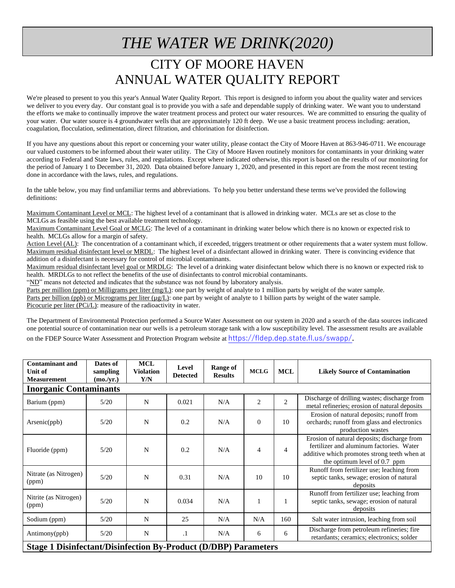## *THE WATER WE DRINK(2020)* CITY OF MOORE HAVEN ANNUAL WATER QUALITY REPORT

We're pleased to present to you this year's Annual Water Quality Report. This report is designed to inform you about the quality water and services we deliver to you every day. Our constant goal is to provide you with a safe and dependable supply of drinking water. We want you to understand the efforts we make to continually improve the water treatment process and protect our water resources. We are committed to ensuring the quality of your water. Our water source is 4 groundwater wells that are approximately 120 ft deep. We use a basic treatment process including: aeration, coagulation, flocculation, sedimentation, direct filtration, and chlorination for disinfection.

If you have any questions about this report or concerning your water utility, please contact the City of Moore Haven at 863-946-0711. We encourage our valued customers to be informed about their water utility. The City of Moore Haven routinely monitors for contaminants in your drinking water according to Federal and State laws, rules, and regulations. Except where indicated otherwise, this report is based on the results of our monitoring for the period of January 1 to December 31, 2020. Data obtained before January 1, 2020, and presented in this report are from the most recent testing done in accordance with the laws, rules, and regulations.

In the table below, you may find unfamiliar terms and abbreviations. To help you better understand these terms we've provided the following definitions:

Maximum Contaminant Level or MCL: The highest level of a contaminant that is allowed in drinking water. MCLs are set as close to the MCLGs as feasible using the best available treatment technology.

Maximum Contaminant Level Goal or MCLG: The level of a contaminant in drinking water below which there is no known or expected risk to health. MCLGs allow for a margin of safety.

Action Level (AL): The concentration of a contaminant which, if exceeded, triggers treatment or other requirements that a water system must follow. Maximum residual disinfectant level or MRDL: The highest level of a disinfectant allowed in drinking water. There is convincing evidence that addition of a disinfectant is necessary for control of microbial contaminants.

Maximum residual disinfectant level goal or MRDLG: The level of a drinking water disinfectant below which there is no known or expected risk to health. MRDLGs to not reflect the benefits of the use of disinfectants to control microbial contaminants.

"ND" means not detected and indicates that the substance was not found by laboratory analysis.

Parts per million (ppm) or Milligrams per liter (mg/L): one part by weight of analyte to 1 million parts by weight of the water sample. Parts per billion (ppb) or Micrograms per liter  $(\mu g/L)$ : one part by weight of analyte to 1 billion parts by weight of the water sample. Picocurie per liter (PCi/L): measure of the radioactivity in water.

The Department of Environmental Protection performed a Source Water Assessment on our system in 2020 and a search of the data sources indicated one potential source of contamination near our wells is a petroleum storage tank with a low susceptibility level. The assessment results are available on the FDEP Source Water Assessment and Protection Program website at <https://fldep.dep.state.fl.us/swapp/>*.*

| <b>Contaminant and</b><br>Unit of<br><b>Measurement</b>                | Dates of<br>sampling<br>(mo./yr.) | <b>MCL</b><br><b>Violation</b><br>Y/N | Level<br><b>Detected</b> | <b>Range of</b><br><b>Results</b> | <b>MCLG</b>    | <b>MCL</b>     | <b>Likely Source of Contamination</b>                                                                                                                                   |  |  |  |
|------------------------------------------------------------------------|-----------------------------------|---------------------------------------|--------------------------|-----------------------------------|----------------|----------------|-------------------------------------------------------------------------------------------------------------------------------------------------------------------------|--|--|--|
| <b>Inorganic Contaminants</b>                                          |                                   |                                       |                          |                                   |                |                |                                                                                                                                                                         |  |  |  |
| Barium (ppm)                                                           | 5/20                              | N                                     | 0.021                    | N/A                               | $\overline{2}$ | $\overline{2}$ | Discharge of drilling wastes; discharge from<br>metal refineries; erosion of natural deposits                                                                           |  |  |  |
| Arsenic(ppb)                                                           | 5/20                              | N                                     | 0.2                      | N/A                               | $\overline{0}$ | 10             | Erosion of natural deposits; runoff from<br>orchards; runoff from glass and electronics<br>production wastes                                                            |  |  |  |
| Fluoride (ppm)                                                         | 5/20                              | N                                     | 0.2                      | N/A                               | 4              | $\overline{4}$ | Erosion of natural deposits; discharge from<br>fertilizer and aluminum factories. Water<br>additive which promotes strong teeth when at<br>the optimum level of 0.7 ppm |  |  |  |
| Nitrate (as Nitrogen)<br>(ppm)                                         | 5/20                              | N                                     | 0.31                     | N/A                               | 10             | 10             | Runoff from fertilizer use; leaching from<br>septic tanks, sewage; erosion of natural<br>deposits                                                                       |  |  |  |
| Nitrite (as Nitrogen)<br>(ppm)                                         | 5/20                              | N                                     | 0.034                    | N/A                               |                |                | Runoff from fertilizer use; leaching from<br>septic tanks, sewage; erosion of natural<br>deposits                                                                       |  |  |  |
| Sodium (ppm)                                                           | 5/20                              | N                                     | 25                       | N/A                               | N/A            | 160            | Salt water intrusion, leaching from soil                                                                                                                                |  |  |  |
| Antimony(ppb)                                                          | 5/20                              | N                                     | $\cdot$ 1                | N/A                               | 6              | 6              | Discharge from petroleum refineries; fire<br>retardants; ceramics; electronics; solder                                                                                  |  |  |  |
| <b>Stage 1 Disinfectant/Disinfection By-Product (D/DBP) Parameters</b> |                                   |                                       |                          |                                   |                |                |                                                                                                                                                                         |  |  |  |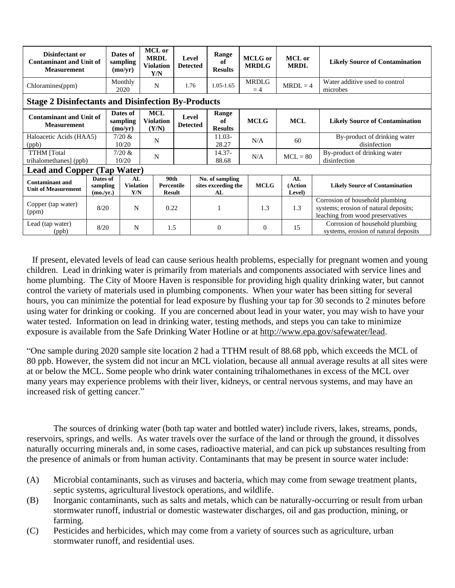| Disinfectant or<br><b>Contaminant and Unit of</b><br><b>Measurement</b> |                                  | Dates of<br>sampling<br>(mo/yr) |                                | MCL or<br><b>MRDL</b><br><b>Violation</b><br>Y/N | Level<br><b>Detected</b> |              | Range<br>of<br><b>Results</b>                |  | <b>MCLG</b> or<br><b>MRDLG</b> | <b>MCL</b> or<br><b>MRDL</b> | <b>Likely Source of Contamination</b>                                                                        |
|-------------------------------------------------------------------------|----------------------------------|---------------------------------|--------------------------------|--------------------------------------------------|--------------------------|--------------|----------------------------------------------|--|--------------------------------|------------------------------|--------------------------------------------------------------------------------------------------------------|
| Chloramines(ppm)                                                        |                                  | Monthly<br>2020                 |                                | N                                                | 1.76                     |              | 1.05-1.65                                    |  | <b>MRDLG</b><br>$=4$           | $MRDL = 4$                   | Water additive used to control<br>microbes                                                                   |
| <b>Stage 2 Disinfectants and Disinfection By-Products</b>               |                                  |                                 |                                |                                                  |                          |              |                                              |  |                                |                              |                                                                                                              |
| <b>Contaminant and Unit of</b><br><b>Measurement</b>                    |                                  | Dates of<br>sampling<br>(mo/yr) |                                | <b>MCL</b><br><b>Violation</b><br>(Y/N)          | Level<br><b>Detected</b> |              | Range<br>of<br><b>Results</b>                |  | <b>MCLG</b>                    | <b>MCL</b>                   | <b>Likely Source of Contamination</b>                                                                        |
| Haloacetic Acids (HAA5)<br>(ppb)                                        |                                  | 7/20 &<br>10/20                 |                                | N                                                |                          |              | $11.03-$<br>28.27                            |  | N/A                            | 60                           | By-product of drinking water<br>disinfection                                                                 |
| <b>TTHM</b> [Total<br>trihalomethanes] (ppb)                            |                                  | 7/20 &<br>10/20                 |                                | N                                                |                          |              | $14.37 -$<br>88.68                           |  | N/A                            | $MCL = 80$                   | By-product of drinking water<br>disinfection                                                                 |
| <b>Lead and Copper (Tap Water)</b>                                      |                                  |                                 |                                |                                                  |                          |              |                                              |  |                                |                              |                                                                                                              |
| <b>Contaminant and</b><br><b>Unit of Measurement</b>                    | Dates of<br>sampling<br>(mo/yr.) |                                 | AI.<br><b>Violation</b><br>Y/N | 90th<br><b>Percentile</b><br><b>Result</b>       |                          |              | No. of sampling<br>sites exceeding the<br>AL |  | <b>MCLG</b>                    | AI.<br>(Action<br>Level)     | <b>Likely Source of Contamination</b>                                                                        |
| Copper (tap water)<br>8/20<br>(ppm)                                     |                                  |                                 | N<br>0.22                      |                                                  |                          |              |                                              |  | 1.3                            | 1.3                          | Corrosion of household plumbing<br>systems; erosion of natural deposits;<br>leaching from wood preservatives |
| Lead (tap water)<br>8/20<br>(ppb)                                       |                                  |                                 | N                              | 1.5                                              |                          | $\mathbf{0}$ |                                              |  | $\overline{0}$<br>15           |                              | Corrosion of household plumbing<br>systems, erosion of natural deposits                                      |

 If present, elevated levels of lead can cause serious health problems, especially for pregnant women and young children. Lead in drinking water is primarily from materials and components associated with service lines and home plumbing. The City of Moore Haven is responsible for providing high quality drinking water, but cannot control the variety of materials used in plumbing components. When your water has been sitting for several hours, you can minimize the potential for lead exposure by flushing your tap for 30 seconds to 2 minutes before using water for drinking or cooking. If you are concerned about lead in your water, you may wish to have your water tested. Information on lead in drinking water, testing methods, and steps you can take to minimize exposure is available from the Safe Drinking Water Hotline or at [http://www.epa.gov/safewater/lead.](http://www.epa.gov/safewater/lead)

"One sample during 2020 sample site location 2 had a TTHM result of 88.68 ppb, which exceeds the MCL of 80 ppb. However, the system did not incur an MCL violation, because all annual average results at all sites were at or below the MCL. Some people who drink water containing trihalomethanes in excess of the MCL over many years may experience problems with their liver, kidneys, or central nervous systems, and may have an increased risk of getting cancer."

 The sources of drinking water (both tap water and bottled water) include rivers, lakes, streams, ponds, reservoirs, springs, and wells. As water travels over the surface of the land or through the ground, it dissolves naturally occurring minerals and, in some cases, radioactive material, and can pick up substances resulting from the presence of animals or from human activity. Contaminants that may be present in source water include:

- (A) Microbial contaminants, such as viruses and bacteria, which may come from sewage treatment plants, septic systems, agricultural livestock operations, and wildlife.
- (B) Inorganic contaminants, such as salts and metals, which can be naturally-occurring or result from urban stormwater runoff, industrial or domestic wastewater discharges, oil and gas production, mining, or farming.
- (C) Pesticides and herbicides, which may come from a variety of sources such as agriculture, urban stormwater runoff, and residential uses.